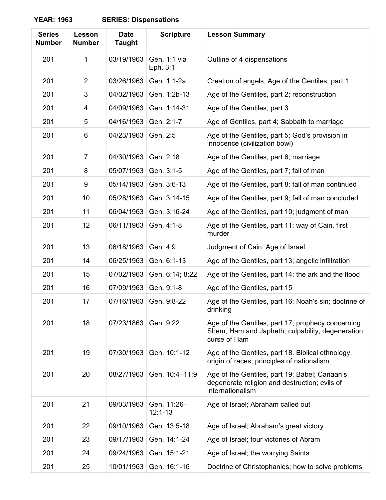| <b>Series</b><br><b>Number</b> | Lesson<br><b>Number</b> | <b>Date</b><br><b>Taught</b> | <b>Scripture</b>           | <b>Lesson Summary</b>                                                                                                  |
|--------------------------------|-------------------------|------------------------------|----------------------------|------------------------------------------------------------------------------------------------------------------------|
| 201                            | 1                       | 03/19/1963                   | Gen. 1:1 via<br>Eph. 3:1   | Outline of 4 dispensations                                                                                             |
| 201                            | 2                       | 03/26/1963                   | Gen. 1:1-2a                | Creation of angels, Age of the Gentiles, part 1                                                                        |
| 201                            | 3                       | 04/02/1963                   | Gen. 1:2b-13               | Age of the Gentiles, part 2; reconstruction                                                                            |
| 201                            | 4                       | 04/09/1963                   | Gen. 1:14-31               | Age of the Gentiles, part 3                                                                                            |
| 201                            | 5                       | 04/16/1963                   | Gen. 2:1-7                 | Age of Gentiles, part 4; Sabbath to marriage                                                                           |
| 201                            | 6                       | 04/23/1963                   | Gen. 2:5                   | Age of the Gentiles, part 5; God's provision in<br>innocence (civilization bowl)                                       |
| 201                            | $\overline{7}$          | 04/30/1963                   | Gen. 2:18                  | Age of the Gentiles, part 6; marriage                                                                                  |
| 201                            | 8                       | 05/07/1963                   | Gen. 3:1-5                 | Age of the Gentiles, part 7; fall of man                                                                               |
| 201                            | 9                       | 05/14/1963                   | Gen. 3:6-13                | Age of the Gentiles, part 8; fall of man continued                                                                     |
| 201                            | 10                      | 05/28/1963                   | Gen. 3:14-15               | Age of the Gentiles, part 9; fall of man concluded                                                                     |
| 201                            | 11                      | 06/04/1963                   | Gen. 3:16-24               | Age of the Gentiles, part 10; judgment of man                                                                          |
| 201                            | 12                      | 06/11/1963                   | Gen. 4:1-8                 | Age of the Gentiles, part 11; way of Cain, first<br>murder                                                             |
| 201                            | 13                      | 06/18/1963                   | Gen. 4:9                   | Judgment of Cain; Age of Israel                                                                                        |
| 201                            | 14                      | 06/25/1963                   | Gen. 6:1-13                | Age of the Gentiles, part 13; angelic infiltration                                                                     |
| 201                            | 15                      | 07/02/1963                   | Gen. 6:14; 8:22            | Age of the Gentiles, part 14; the ark and the flood                                                                    |
| 201                            | 16                      | 07/09/1963                   | Gen. 9:1-8                 | Age of the Gentiles, part 15                                                                                           |
| 201                            | 17                      | 07/16/1963                   | Gen. 9:8-22                | Age of the Gentiles, part 16; Noah's sin; doctrine of<br>drinking                                                      |
| 201                            | 18                      | 07/23/1863                   | Gen. 9:22                  | Age of the Gentiles, part 17; prophecy concerning<br>Shem, Ham and Japheth; culpability, degeneration;<br>curse of Ham |
| 201                            | 19                      | 07/30/1963                   | Gen. 10:1-12               | Age of the Gentiles, part 18. Biblical ethnology,<br>origin of races; principles of nationalism                        |
| 201                            | 20                      | 08/27/1963                   | Gen. 10:4-11:9             | Age of the Gentiles, part 19; Babel; Canaan's<br>degenerate religion and destruction; evils of<br>internationalism     |
| 201                            | 21                      | 09/03/1963                   | Gen. 11:26-<br>$12:1 - 13$ | Age of Israel; Abraham called out                                                                                      |
| 201                            | 22                      | 09/10/1963                   | Gen. 13:5-18               | Age of Israel; Abraham's great victory                                                                                 |
| 201                            | 23                      | 09/17/1963                   | Gen. 14:1-24               | Age of Israel; four victories of Abram                                                                                 |
| 201                            | 24                      | 09/24/1963                   | Gen. 15:1-21               | Age of Israel; the worrying Saints                                                                                     |
| 201                            | 25                      | 10/01/1963                   | Gen. 16:1-16               | Doctrine of Christophanies; how to solve problems                                                                      |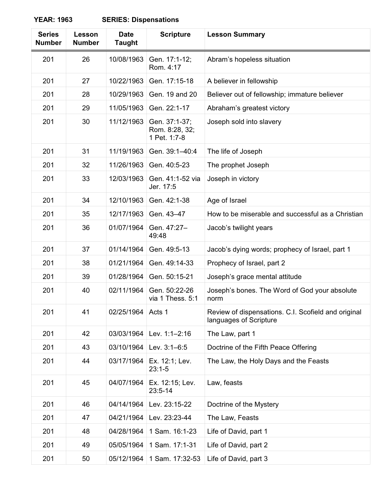| <b>Series</b><br><b>Number</b> | Lesson<br><b>Number</b> | <b>Date</b><br><b>Taught</b> | <b>Scripture</b>                                | <b>Lesson Summary</b>                                                         |
|--------------------------------|-------------------------|------------------------------|-------------------------------------------------|-------------------------------------------------------------------------------|
| 201                            | 26                      | 10/08/1963                   | Gen. 17:1-12;<br>Rom. 4:17                      | Abram's hopeless situation                                                    |
| 201                            | 27                      | 10/22/1963                   | Gen. 17:15-18                                   | A believer in fellowship                                                      |
| 201                            | 28                      | 10/29/1963                   | Gen. 19 and 20                                  | Believer out of fellowship; immature believer                                 |
| 201                            | 29                      | 11/05/1963                   | Gen. 22:1-17                                    | Abraham's greatest victory                                                    |
| 201                            | 30                      | 11/12/1963                   | Gen. 37:1-37;<br>Rom. 8:28, 32;<br>1 Pet. 1:7-8 | Joseph sold into slavery                                                      |
| 201                            | 31                      | 11/19/1963                   | Gen. 39:1-40:4                                  | The life of Joseph                                                            |
| 201                            | 32                      | 11/26/1963                   | Gen. 40:5-23                                    | The prophet Joseph                                                            |
| 201                            | 33                      | 12/03/1963                   | Gen. 41:1-52 via<br>Jer. 17:5                   | Joseph in victory                                                             |
| 201                            | 34                      | 12/10/1963                   | Gen. 42:1-38                                    | Age of Israel                                                                 |
| 201                            | 35                      | 12/17/1963                   | Gen. 43-47                                      | How to be miserable and successful as a Christian                             |
| 201                            | 36                      | 01/07/1964                   | Gen. 47:27-<br>49:48                            | Jacob's twilight years                                                        |
| 201                            | 37                      | 01/14/1964                   | Gen. 49:5-13                                    | Jacob's dying words; prophecy of Israel, part 1                               |
| 201                            | 38                      | 01/21/1964                   | Gen. 49:14-33                                   | Prophecy of Israel, part 2                                                    |
| 201                            | 39                      | 01/28/1964                   | Gen. 50:15-21                                   | Joseph's grace mental attitude                                                |
| 201                            | 40                      | 02/11/1964                   | Gen. 50:22-26<br>via 1 Thess. 5:1               | Joseph's bones. The Word of God your absolute<br>norm                         |
| 201                            | 41                      | 02/25/1964                   | Acts 1                                          | Review of dispensations. C.I. Scofield and original<br>languages of Scripture |
| 201                            | 42                      | 03/03/1964                   | Lev. 1:1-2:16                                   | The Law, part 1                                                               |
| 201                            | 43                      | 03/10/1964                   | Lev. 3:1-6:5                                    | Doctrine of the Fifth Peace Offering                                          |
| 201                            | 44                      | 03/17/1964                   | Ex. 12:1; Lev.<br>$23:1 - 5$                    | The Law, the Holy Days and the Feasts                                         |
| 201                            | 45                      | 04/07/1964                   | Ex. 12:15; Lev.<br>$23:5 - 14$                  | Law, feasts                                                                   |
| 201                            | 46                      | 04/14/1964                   | Lev. 23:15-22                                   | Doctrine of the Mystery                                                       |
| 201                            | 47                      | 04/21/1964                   | Lev. 23:23-44                                   | The Law, Feasts                                                               |
| 201                            | 48                      | 04/28/1964                   | 1 Sam. 16:1-23                                  | Life of David, part 1                                                         |
| 201                            | 49                      | 05/05/1964                   | 1 Sam. 17:1-31                                  | Life of David, part 2                                                         |
| 201                            | 50                      | 05/12/1964                   | 1 Sam. 17:32-53                                 | Life of David, part 3                                                         |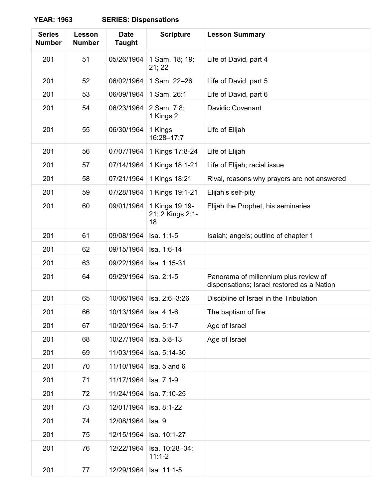| <b>Series</b><br><b>Number</b> | Lesson<br><b>Number</b> | <b>Date</b><br><b>Taught</b> | <b>Scripture</b>                         | <b>Lesson Summary</b>                                                               |
|--------------------------------|-------------------------|------------------------------|------------------------------------------|-------------------------------------------------------------------------------------|
| 201                            | 51                      | 05/26/1964                   | 1 Sam. 18; 19;<br>21; 22                 | Life of David, part 4                                                               |
| 201                            | 52                      | 06/02/1964                   | 1 Sam. 22-26                             | Life of David, part 5                                                               |
| 201                            | 53                      | 06/09/1964                   | 1 Sam. 26:1                              | Life of David, part 6                                                               |
| 201                            | 54                      | 06/23/1964                   | 2 Sam. 7:8;<br>1 Kings 2                 | <b>Davidic Covenant</b>                                                             |
| 201                            | 55                      | 06/30/1964                   | 1 Kings<br>16:28-17:7                    | Life of Elijah                                                                      |
| 201                            | 56                      | 07/07/1964                   | 1 Kings 17:8-24                          | Life of Elijah                                                                      |
| 201                            | 57                      | 07/14/1964                   | 1 Kings 18:1-21                          | Life of Elijah; racial issue                                                        |
| 201                            | 58                      | 07/21/1964                   | 1 Kings 18:21                            | Rival, reasons why prayers are not answered                                         |
| 201                            | 59                      | 07/28/1964                   | 1 Kings 19:1-21                          | Elijah's self-pity                                                                  |
| 201                            | 60                      | 09/01/1964                   | 1 Kings 19:19-<br>21; 2 Kings 2:1-<br>18 | Elijah the Prophet, his seminaries                                                  |
| 201                            | 61                      | 09/08/1964                   | Isa. 1:1-5                               | Isaiah; angels; outline of chapter 1                                                |
| 201                            | 62                      | 09/15/1964                   | Isa. 1:6-14                              |                                                                                     |
| 201                            | 63                      | 09/22/1964                   | Isa. 1:15-31                             |                                                                                     |
| 201                            | 64                      | 09/29/1964                   | Isa. 2:1-5                               | Panorama of millennium plus review of<br>dispensations; Israel restored as a Nation |
| 201                            | 65                      | 10/06/1964                   | Isa. 2:6-3:26                            | Discipline of Israel in the Tribulation                                             |
| 201                            | 66                      | 10/13/1964                   | Isa. 4:1-6                               | The baptism of fire                                                                 |
| 201                            | 67                      | 10/20/1964                   | Isa. 5:1-7                               | Age of Israel                                                                       |
| 201                            | 68                      | 10/27/1964                   | Isa. 5:8-13                              | Age of Israel                                                                       |
| 201                            | 69                      | 11/03/1964                   | Isa. 5:14-30                             |                                                                                     |
| 201                            | 70                      | 11/10/1964                   | Isa. 5 and 6                             |                                                                                     |
| 201                            | 71                      | 11/17/1964                   | Isa. 7:1-9                               |                                                                                     |
| 201                            | 72                      | 11/24/1964                   | Isa. 7:10-25                             |                                                                                     |
| 201                            | 73                      | 12/01/1964                   | Isa. 8:1-22                              |                                                                                     |
| 201                            | 74                      | 12/08/1964                   | Isa. 9                                   |                                                                                     |
| 201                            | 75                      | 12/15/1964                   | Isa. 10:1-27                             |                                                                                     |
| 201                            | 76                      | 12/22/1964                   | Isa. 10:28-34;<br>$11:1-2$               |                                                                                     |
| 201                            | 77                      | 12/29/1964                   | Isa. 11:1-5                              |                                                                                     |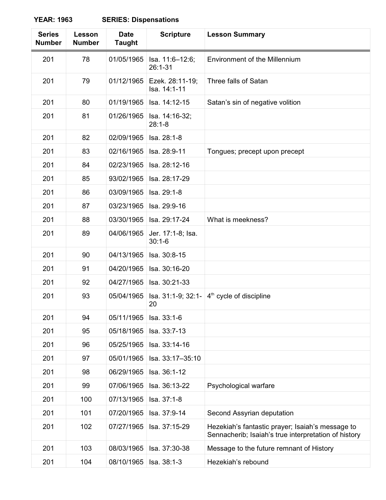| <b>Series</b><br><b>Number</b> | Lesson<br><b>Number</b> | <b>Date</b><br><b>Taught</b> | <b>Scripture</b>                | <b>Lesson Summary</b>                                                                                    |
|--------------------------------|-------------------------|------------------------------|---------------------------------|----------------------------------------------------------------------------------------------------------|
| 201                            | 78                      | 01/05/1965                   | Isa. 11:6-12:6;<br>26:1-31      | Environment of the Millennium                                                                            |
| 201                            | 79                      | 01/12/1965                   | Ezek. 28:11-19;<br>Isa. 14:1-11 | Three falls of Satan                                                                                     |
| 201                            | 80                      | 01/19/1965                   | Isa. 14:12-15                   | Satan's sin of negative volition                                                                         |
| 201                            | 81                      | 01/26/1965                   | Isa. 14:16-32;<br>$28:1 - 8$    |                                                                                                          |
| 201                            | 82                      | 02/09/1965                   | Isa. 28:1-8                     |                                                                                                          |
| 201                            | 83                      | 02/16/1965                   | Isa. 28:9-11                    | Tongues; precept upon precept                                                                            |
| 201                            | 84                      | 02/23/1965                   | Isa. 28:12-16                   |                                                                                                          |
| 201                            | 85                      | 93/02/1965                   | Isa. 28:17-29                   |                                                                                                          |
| 201                            | 86                      | 03/09/1965                   | Isa. 29:1-8                     |                                                                                                          |
| 201                            | 87                      | 03/23/1965                   | Isa. 29:9-16                    |                                                                                                          |
| 201                            | 88                      | 03/30/1965                   | Isa. 29:17-24                   | What is meekness?                                                                                        |
| 201                            | 89                      | 04/06/1965                   | Jer. 17:1-8; Isa.<br>$30:1-6$   |                                                                                                          |
| 201                            | 90                      | 04/13/1965                   | Isa. 30:8-15                    |                                                                                                          |
| 201                            | 91                      | 04/20/1965                   | Isa. 30:16-20                   |                                                                                                          |
| 201                            | 92                      | 04/27/1965                   | Isa. 30:21-33                   |                                                                                                          |
| 201                            | 93                      | 05/04/1965                   | Isa. 31:1-9; 32:1-<br>20        | 4 <sup>th</sup> cycle of discipline                                                                      |
| 201                            | 94                      | 05/11/1965                   | Isa. 33:1-6                     |                                                                                                          |
| 201                            | 95                      | 05/18/1965                   | Isa. 33:7-13                    |                                                                                                          |
| 201                            | 96                      | 05/25/1965                   | Isa. 33:14-16                   |                                                                                                          |
| 201                            | 97                      | 05/01/1965                   | Isa. 33:17-35:10                |                                                                                                          |
| 201                            | 98                      | 06/29/1965                   | Isa. 36:1-12                    |                                                                                                          |
| 201                            | 99                      | 07/06/1965                   | Isa. 36:13-22                   | Psychological warfare                                                                                    |
| 201                            | 100                     | 07/13/1965                   | Isa. 37:1-8                     |                                                                                                          |
| 201                            | 101                     | 07/20/1965                   | Isa. 37:9-14                    | Second Assyrian deputation                                                                               |
| 201                            | 102                     | 07/27/1965                   | Isa. 37:15-29                   | Hezekiah's fantastic prayer; Isaiah's message to<br>Sennacherib; Isaiah's true interpretation of history |
| 201                            | 103                     | 08/03/1965                   | Isa. 37:30-38                   | Message to the future remnant of History                                                                 |
| 201                            | 104                     | 08/10/1965                   | Isa. 38:1-3                     | Hezekiah's rebound                                                                                       |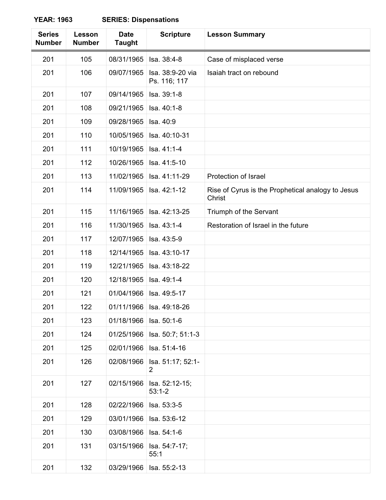| <b>Series</b><br><b>Number</b> | Lesson<br><b>Number</b> | <b>Date</b><br><b>Taught</b> | <b>Scripture</b>                    | <b>Lesson Summary</b>                                       |
|--------------------------------|-------------------------|------------------------------|-------------------------------------|-------------------------------------------------------------|
| 201                            | 105                     | 08/31/1965                   | Isa. 38:4-8                         | Case of misplaced verse                                     |
| 201                            | 106                     | 09/07/1965                   | Isa. 38:9-20 via<br>Ps. 116; 117    | Isaiah tract on rebound                                     |
| 201                            | 107                     | 09/14/1965                   | Isa. 39:1-8                         |                                                             |
| 201                            | 108                     | 09/21/1965                   | Isa. 40:1-8                         |                                                             |
| 201                            | 109                     | 09/28/1965                   | Isa. 40:9                           |                                                             |
| 201                            | 110                     | 10/05/1965                   | Isa. 40:10-31                       |                                                             |
| 201                            | 111                     | 10/19/1965                   | Isa. 41:1-4                         |                                                             |
| 201                            | 112                     | 10/26/1965                   | Isa. 41:5-10                        |                                                             |
| 201                            | 113                     | 11/02/1965                   | Isa. 41:11-29                       | Protection of Israel                                        |
| 201                            | 114                     | 11/09/1965                   | Isa. 42:1-12                        | Rise of Cyrus is the Prophetical analogy to Jesus<br>Christ |
| 201                            | 115                     | 11/16/1965                   | Isa. 42:13-25                       | Triumph of the Servant                                      |
| 201                            | 116                     | 11/30/1965                   | Isa. 43:1-4                         | Restoration of Israel in the future                         |
| 201                            | 117                     | 12/07/1965                   | Isa. 43:5-9                         |                                                             |
| 201                            | 118                     | 12/14/1965                   | Isa. 43:10-17                       |                                                             |
| 201                            | 119                     | 12/21/1965                   | Isa. 43:18-22                       |                                                             |
| 201                            | 120                     | 12/18/1965                   | Isa. 49:1-4                         |                                                             |
| 201                            | 121                     | 01/04/1966                   | Isa. 49:5-17                        |                                                             |
| 201                            | 122                     |                              | 01/11/1966   Isa. 49:18-26          |                                                             |
| 201                            | 123                     | 01/18/1966                   | Isa. 50:1-6                         |                                                             |
| 201                            | 124                     | 01/25/1966                   | Isa. 50:7; 51:1-3                   |                                                             |
| 201                            | 125                     | 02/01/1966                   | Isa. 51:4-16                        |                                                             |
| 201                            | 126                     | 02/08/1966                   | Isa. 51:17; 52:1-<br>$\overline{2}$ |                                                             |
| 201                            | 127                     | 02/15/1966                   | Isa. 52:12-15;<br>$53:1 - 2$        |                                                             |
| 201                            | 128                     | 02/22/1966                   | Isa. 53:3-5                         |                                                             |
| 201                            | 129                     | 03/01/1966                   | Isa. 53:6-12                        |                                                             |
| 201                            | 130                     | 03/08/1966                   | Isa. 54:1-6                         |                                                             |
| 201                            | 131                     | 03/15/1966                   | Isa. 54:7-17;<br>55:1               |                                                             |
| 201                            | 132                     | 03/29/1966                   | Isa. 55:2-13                        |                                                             |